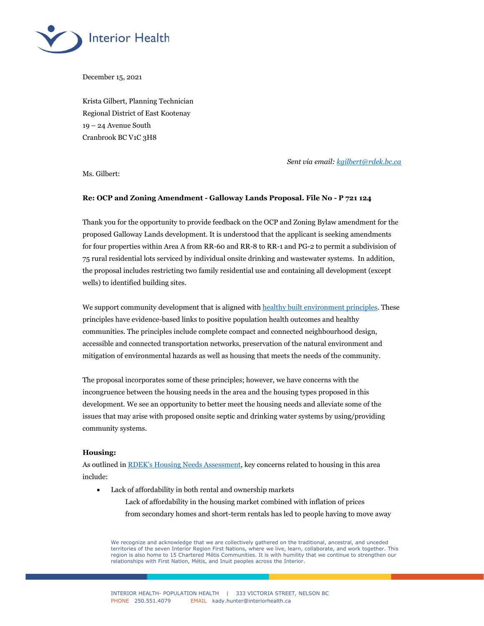

December 15, 2021

Krista Gilbert, Planning Technician Regional District of East Kootenay 19 – 24 Avenue South Cranbrook BC V1C 3H8

*Sent via email: [kgilbert@rdek.bc.ca](mailto:kgilbert@rdek.bc.ca)*

Ms. Gilbert:

## **Re: OCP and Zoning Amendment - Galloway Lands Proposal. File No - P 721 124**

Thank you for the opportunity to provide feedback on the OCP and Zoning Bylaw amendment for the proposed Galloway Lands development. It is understood that the applicant is seeking amendments for four properties within Area A from RR-60 and RR-8 to RR-1 and PG-2 to permit a subdivision of 75 rural residential lots serviced by individual onsite drinking and wastewater systems. In addition, the proposal includes restricting two family residential use and containing all development (except wells) to identified building sites.

We support community development that is aligned with [healthy built environment principles.](http://www.bccdc.ca/pop-public-health/Documents/HBE_linkages_toolkit_2018.pdf) These principles have evidence-based links to positive population health outcomes and healthy communities. The principles include complete compact and connected neighbourhood design, accessible and connected transportation networks, preservation of the natural environment and mitigation of environmental hazards as well as housing that meets the needs of the community.

The proposal incorporates some of these principles; however, we have concerns with the incongruence between the housing needs in the area and the housing types proposed in this development. We see an opportunity to better meet the housing needs and alleviate some of the issues that may arise with proposed onsite septic and drinking water systems by using/providing community systems.

## **Housing:**

As outlined in RDEK's [Housing Needs](https://engage.rdek.bc.ca/housing) Assessment, key concerns related to housing in this area include:

- Lack of affordability in both rental and ownership markets
	- Lack of affordability in the housing market combined with inflation of prices from secondary homes and short-term rentals has led to people having to move away

We recognize and acknowledge that we are collectively gathered on the traditional, ancestral, and unceded territories of the seven Interior Region First Nations, where we live, learn, collaborate, and work together. This region is also home to 15 Chartered Métis Communities. It is with humility that we continue to strengthen our relationships with First Nation, Métis, and Inuit peoples across the Interior.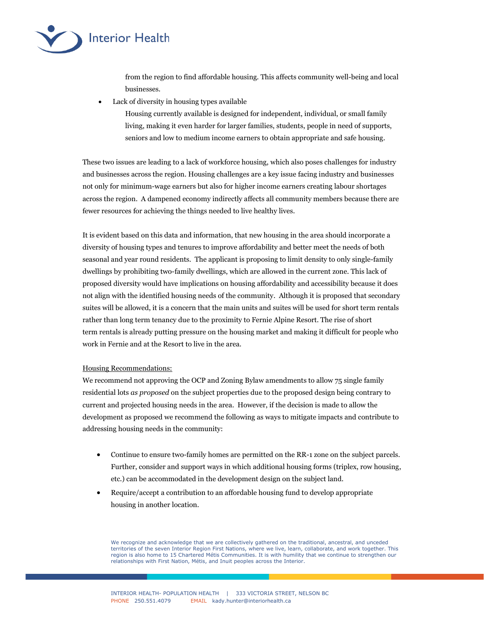

from the region to find affordable housing. This affects community well-being and local businesses.

Lack of diversity in housing types available

Housing currently available is designed for independent, individual, or small family living, making it even harder for larger families, students, people in need of supports, seniors and low to medium income earners to obtain appropriate and safe housing.

These two issues are leading to a lack of workforce housing, which also poses challenges for industry and businesses across the region. Housing challenges are a key issue facing industry and businesses not only for minimum-wage earners but also for higher income earners creating labour shortages across the region. A dampened economy indirectly affects all community members because there are fewer resources for achieving the things needed to live healthy lives.

It is evident based on this data and information, that new housing in the area should incorporate a diversity of housing types and tenures to improve affordability and better meet the needs of both seasonal and year round residents. The applicant is proposing to limit density to only single-family dwellings by prohibiting two-family dwellings, which are allowed in the current zone. This lack of proposed diversity would have implications on housing affordability and accessibility because it does not align with the identified housing needs of the community. Although it is proposed that secondary suites will be allowed, it is a concern that the main units and suites will be used for short term rentals rather than long term tenancy due to the proximity to Fernie Alpine Resort. The rise of short term rentals is already putting pressure on the housing market and making it difficult for people who work in Fernie and at the Resort to live in the area.

# Housing Recommendations:

We recommend not approving the OCP and Zoning Bylaw amendments to allow 75 single family residential lots *as proposed* on the subject properties due to the proposed design being contrary to current and projected housing needs in the area. However, if the decision is made to allow the development as proposed we recommend the following as ways to mitigate impacts and contribute to addressing housing needs in the community:

- Continue to ensure two-family homes are permitted on the RR-1 zone on the subject parcels. Further, consider and support ways in which additional housing forms (triplex, row housing, etc.) can be accommodated in the development design on the subject land.
- Require/accept a contribution to an affordable housing fund to develop appropriate housing in another location.

We recognize and acknowledge that we are collectively gathered on the traditional, ancestral, and unceded territories of the seven Interior Region First Nations, where we live, learn, collaborate, and work together. This region is also home to 15 Chartered Métis Communities. It is with humility that we continue to strengthen our relationships with First Nation, Métis, and Inuit peoples across the Interior.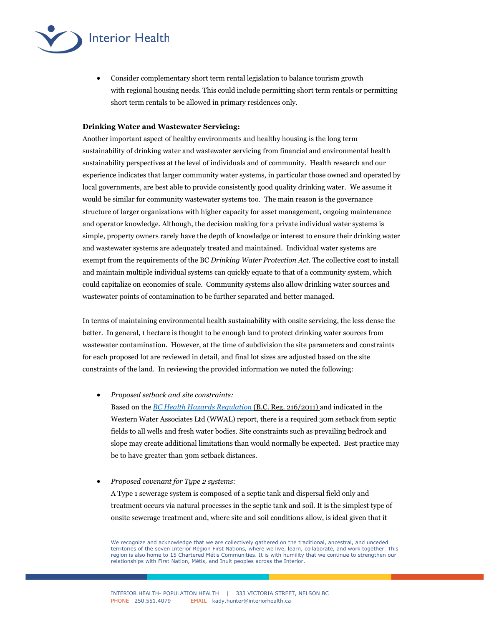

 Consider complementary short term rental legislation to balance tourism growth with regional housing needs. This could include permitting short term rentals or permitting short term rentals to be allowed in primary residences only.

## **Drinking Water and Wastewater Servicing:**

Another important aspect of healthy environments and healthy housing is the long term sustainability of drinking water and wastewater servicing from financial and environmental health sustainability perspectives at the level of individuals and of community. Health research and our experience indicates that larger community water systems, in particular those owned and operated by local governments, are best able to provide consistently good quality drinking water. We assume it would be similar for community wastewater systems too. The main reason is the governance structure of larger organizations with higher capacity for asset management, ongoing maintenance and operator knowledge. Although, the decision making for a private individual water systems is simple, property owners rarely have the depth of knowledge or interest to ensure their drinking water and wastewater systems are adequately treated and maintained. Individual water systems are exempt from the requirements of the BC *Drinking Water Protection Act.* The collective cost to install and maintain multiple individual systems can quickly equate to that of a community system, which could capitalize on economies of scale. Community systems also allow drinking water sources and wastewater points of contamination to be further separated and better managed.

In terms of maintaining environmental health sustainability with onsite servicing, the less dense the better. In general, 1 hectare is thought to be enough land to protect drinking water sources from wastewater contamination. However, at the time of subdivision the site parameters and constraints for each proposed lot are reviewed in detail, and final lot sizes are adjusted based on the site constraints of the land. In reviewing the provided information we noted the following:

*Proposed setback and site constraints:* 

Based on the *[BC Health Hazards Regulation](https://www.bclaws.gov.bc.ca/civix/document/id/complete/statreg/216_2011#section8)* (B.C. Reg. 216/2011) and indicated in the Western Water Associates Ltd (WWAL) report, there is a required 30m setback from septic fields to all wells and fresh water bodies. Site constraints such as prevailing bedrock and slope may create additional limitations than would normally be expected. Best practice may be to have greater than 30m setback distances.

*Proposed covenant for Type 2 systems*:

A Type 1 sewerage system is composed of a septic tank and dispersal field only and treatment occurs via natural processes in the septic tank and soil. It is the simplest type of onsite sewerage treatment and, where site and soil conditions allow, is ideal given that it

We recognize and acknowledge that we are collectively gathered on the traditional, ancestral, and unceded territories of the seven Interior Region First Nations, where we live, learn, collaborate, and work together. This region is also home to 15 Chartered Métis Communities. It is with humility that we continue to strengthen our relationships with First Nation, Métis, and Inuit peoples across the Interior.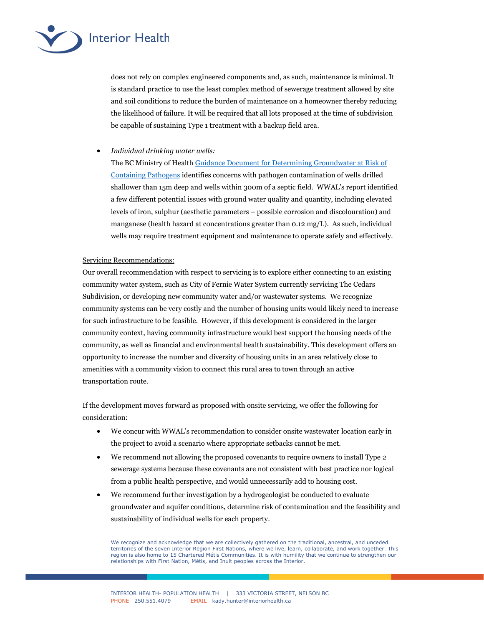

does not rely on complex engineered components and, as such, maintenance is minimal. It is standard practice to use the least complex method of sewerage treatment allowed by site and soil conditions to reduce the burden of maintenance on a homeowner thereby reducing the likelihood of failure. It will be required that all lots proposed at the time of subdivision be capable of sustaining Type 1 treatment with a backup field area.

*Individual drinking water wells:*

The BC Ministry of Health [Guidance Document for Determining Groundwater at Risk of](https://www2.gov.bc.ca/assets/gov/environment/air-land-water/water/waterquality/how-drinking-water-is-protected-in-bc/garp_assessment_oct_2017.pdf)  [Containing Pathogens](https://www2.gov.bc.ca/assets/gov/environment/air-land-water/water/waterquality/how-drinking-water-is-protected-in-bc/garp_assessment_oct_2017.pdf) identifies concerns with pathogen contamination of wells drilled shallower than 15m deep and wells within 300m of a septic field. WWAL's report identified a few different potential issues with ground water quality and quantity, including elevated levels of iron, sulphur (aesthetic parameters – possible corrosion and discolouration) and manganese (health hazard at concentrations greater than 0.12 mg/L). As such, individual wells may require treatment equipment and maintenance to operate safely and effectively.

# Servicing Recommendations:

Our overall recommendation with respect to servicing is to explore either connecting to an existing community water system, such as City of Fernie Water System currently servicing The Cedars Subdivision, or developing new community water and/or wastewater systems. We recognize community systems can be very costly and the number of housing units would likely need to increase for such infrastructure to be feasible. However, if this development is considered in the larger community context, having community infrastructure would best support the housing needs of the community, as well as financial and environmental health sustainability. This development offers an opportunity to increase the number and diversity of housing units in an area relatively close to amenities with a community vision to connect this rural area to town through an active transportation route.

If the development moves forward as proposed with onsite servicing, we offer the following for consideration:

- We concur with WWAL's recommendation to consider onsite wastewater location early in the project to avoid a scenario where appropriate setbacks cannot be met.
- We recommend not allowing the proposed covenants to require owners to install Type 2 sewerage systems because these covenants are not consistent with best practice nor logical from a public health perspective, and would unnecessarily add to housing cost.
- We recommend further investigation by a hydrogeologist be conducted to evaluate groundwater and aquifer conditions, determine risk of contamination and the feasibility and sustainability of individual wells for each property.

We recognize and acknowledge that we are collectively gathered on the traditional, ancestral, and unceded territories of the seven Interior Region First Nations, where we live, learn, collaborate, and work together. This region is also home to 15 Chartered Métis Communities. It is with humility that we continue to strengthen our relationships with First Nation, Métis, and Inuit peoples across the Interior.